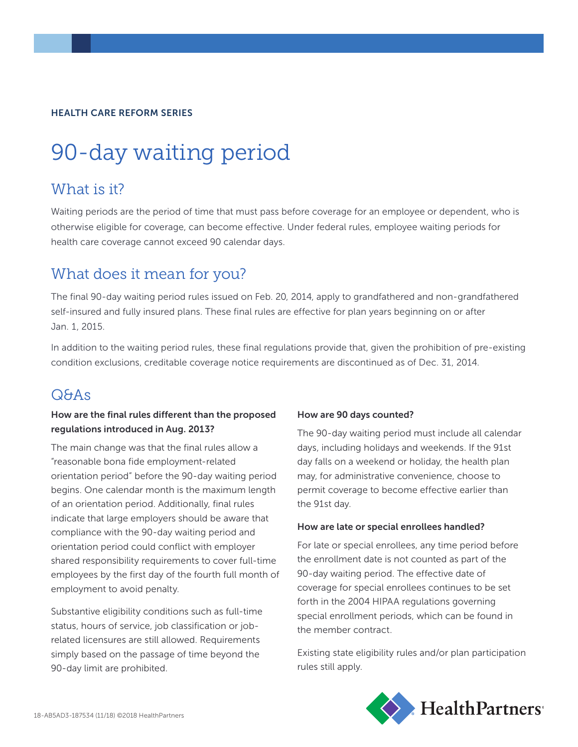#### HEALTH CARE REFORM SERIES

# 90-day waiting period

### What is it?

Waiting periods are the period of time that must pass before coverage for an employee or dependent, who is otherwise eligible for coverage, can become effective. Under federal rules, employee waiting periods for health care coverage cannot exceed 90 calendar days.

## What does it mean for you?

The final 90-day waiting period rules issued on Feb. 20, 2014, apply to grandfathered and non-grandfathered self-insured and fully insured plans. These final rules are effective for plan years beginning on or after Jan. 1, 2015.

In addition to the waiting period rules, these final regulations provide that, given the prohibition of pre-existing condition exclusions, creditable coverage notice requirements are discontinued as of Dec. 31, 2014.

## Q&As

#### How are the final rules different than the proposed regulations introduced in Aug. 2013?

The main change was that the final rules allow a "reasonable bona fide employment-related orientation period" before the 90-day waiting period begins. One calendar month is the maximum length of an orientation period. Additionally, final rules indicate that large employers should be aware that compliance with the 90-day waiting period and orientation period could conflict with employer shared responsibility requirements to cover full-time employees by the first day of the fourth full month of employment to avoid penalty.

Substantive eligibility conditions such as full-time status, hours of service, job classification or jobrelated licensures are still allowed. Requirements simply based on the passage of time beyond the 90-day limit are prohibited.

#### How are 90 days counted?

The 90-day waiting period must include all calendar days, including holidays and weekends. If the 91st day falls on a weekend or holiday, the health plan may, for administrative convenience, choose to permit coverage to become effective earlier than the 91st day.

#### How are late or special enrollees handled?

For late or special enrollees, any time period before the enrollment date is not counted as part of the 90-day waiting period. The effective date of coverage for special enrollees continues to be set forth in the 2004 HIPAA regulations governing special enrollment periods, which can be found in the member contract.

Existing state eligibility rules and/or plan participation rules still apply.